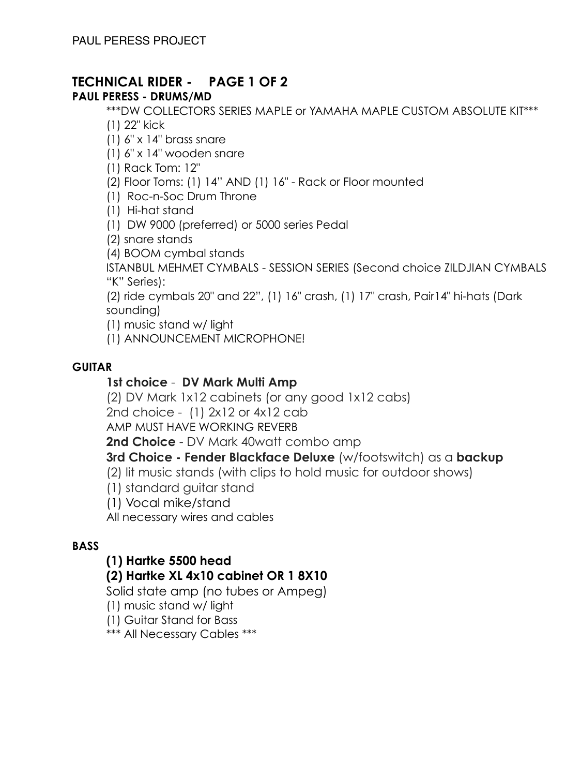# **TECHNICAL RIDER - PAGE 1 OF 2**

## **PAUL PERESS - DRUMS/MD**

\*\*\*DW COLLECTORS SERIES MAPLE or YAMAHA MAPLE CUSTOM ABSOLUTE KIT\*\*\*

(1) 22" kick

(1) 6" x 14" brass snare

(1) 6" x 14" wooden snare

(1) Rack Tom: 12"

(2) Floor Toms: (1) 14" AND (1) 16" - Rack or Floor mounted

(1) Roc-n-Soc Drum Throne

(1) Hi-hat stand

(1) DW 9000 (preferred) or 5000 series Pedal

(2) snare stands

(4) BOOM cymbal stands

ISTANBUL MEHMET CYMBALS - SESSION SERIES (Second choice ZILDJIAN CYMBALS "K" Series):

(2) ride cymbals 20" and 22", (1) 16" crash, (1) 17" crash, Pair14" hi-hats (Dark sounding)

(1) music stand w/ light

(1) ANNOUNCEMENT MICROPHONE!

#### **GUITAR**

## **1st choice** - **DV Mark Multi Amp**

(2) DV Mark 1x12 cabinets (or any good 1x12 cabs)

2nd choice - (1) 2x12 or 4x12 cab

AMP MUST HAVE WORKING REVERB

**2nd Choice** - DV Mark 40watt combo amp

**3rd Choice - Fender Blackface Deluxe** (w/footswitch) as a **backup**

(2) lit music stands (with clips to hold music for outdoor shows)

(1) standard guitar stand

(1) Vocal mike/stand

All necessary wires and cables

## **BASS**

## **(1) Hartke 5500 head**

## **(2) Hartke XL 4x10 cabinet OR 1 8X10**

Solid state amp (no tubes or Ampeg)

(1) music stand w/ light

(1) Guitar Stand for Bass

\*\*\* All Necessary Cables \*\*\*